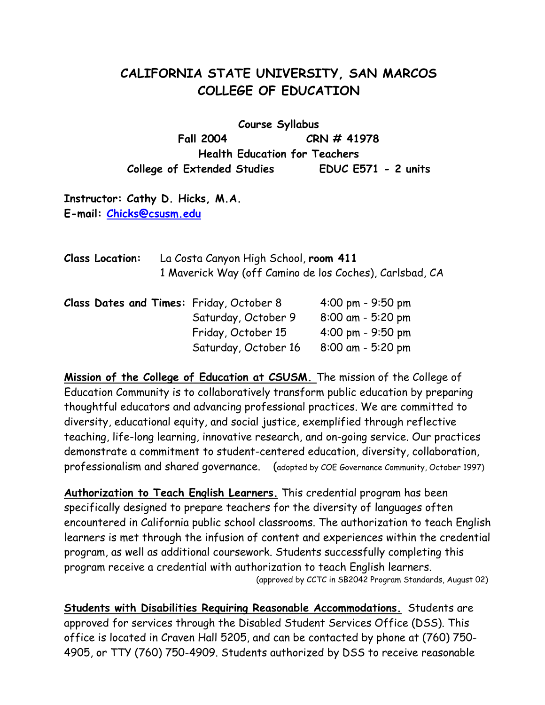# **CALIFORNIA STATE UNIVERSITY, SAN MARCOS COLLEGE OF EDUCATION**

**Course Syllabus Fall 2004 CRN # 41978 Health Education for Teachers College of Extended Studies EDUC E571 - 2 units** 

**Instructor: Cathy D. Hicks, M.A. E-mail: Chicks@csusm.edu**

| <b>Class Location:</b> | La Costa Canyon High School, room 411<br>1 Maverick Way (off Camino de los Coches), Carlsbad, CA |                                          |                     |
|------------------------|--------------------------------------------------------------------------------------------------|------------------------------------------|---------------------|
|                        |                                                                                                  | Class Dates and Times: Friday, October 8 | 4:00 pm - $9:50$ pm |
|                        |                                                                                                  | Saturday, October 9                      | $8:00$ am - 5:20 pm |
|                        |                                                                                                  | Friday, October 15                       | 4:00 pm - $9:50$ pm |
|                        |                                                                                                  | Saturday, October 16                     | $8:00$ am - 5:20 pm |

**Mission of the College of Education at CSUSM.** The mission of the College of Education Community is to collaboratively transform public education by preparing thoughtful educators and advancing professional practices. We are committed to diversity, educational equity, and social justice, exemplified through reflective teaching, life-long learning, innovative research, and on-going service. Our practices demonstrate a commitment to student-centered education, diversity, collaboration, professionalism and shared governance. (adopted by COE Governance Community, October 1997)

**Authorization to Teach English Learners.** This credential program has been specifically designed to prepare teachers for the diversity of languages often encountered in California public school classrooms. The authorization to teach English learners is met through the infusion of content and experiences within the credential program, as well as additional coursework. Students successfully completing this program receive a credential with authorization to teach English learners. (approved by CCTC in SB2042 Program Standards, August 02)

**Students with Disabilities Requiring Reasonable Accommodations.** Students are approved for services through the Disabled Student Services Office (DSS). This office is located in Craven Hall 5205, and can be contacted by phone at (760) 750- 4905, or TTY (760) 750-4909. Students authorized by DSS to receive reasonable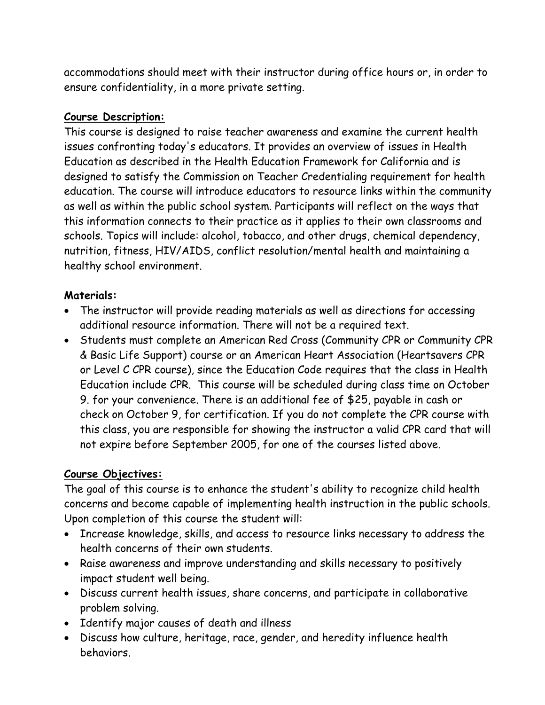accommodations should meet with their instructor during office hours or, in order to ensure confidentiality, in a more private setting.

#### **Course Description:**

This course is designed to raise teacher awareness and examine the current health issues confronting today's educators. It provides an overview of issues in Health Education as described in the Health Education Framework for California and is designed to satisfy the Commission on Teacher Credentialing requirement for health education. The course will introduce educators to resource links within the community as well as within the public school system. Participants will reflect on the ways that this information connects to their practice as it applies to their own classrooms and schools. Topics will include: alcohol, tobacco, and other drugs, chemical dependency, nutrition, fitness, HIV/AIDS, conflict resolution/mental health and maintaining a healthy school environment.

#### **Materials:**

- The instructor will provide reading materials as well as directions for accessing additional resource information. There will not be a required text.
- Students must complete an American Red Cross (Community CPR or Community CPR & Basic Life Support) course or an American Heart Association (Heartsavers CPR or Level C CPR course), since the Education Code requires that the class in Health Education include CPR. This course will be scheduled during class time on October 9. for your convenience. There is an additional fee of \$25, payable in cash or check on October 9, for certification. If you do not complete the CPR course with this class, you are responsible for showing the instructor a valid CPR card that will not expire before September 2005, for one of the courses listed above.

## **Course Objectives:**

The goal of this course is to enhance the student's ability to recognize child health concerns and become capable of implementing health instruction in the public schools. Upon completion of this course the student will:

- Increase knowledge, skills, and access to resource links necessary to address the health concerns of their own students.
- Raise awareness and improve understanding and skills necessary to positively impact student well being.
- Discuss current health issues, share concerns, and participate in collaborative problem solving.
- Identify major causes of death and illness
- Discuss how culture, heritage, race, gender, and heredity influence health behaviors.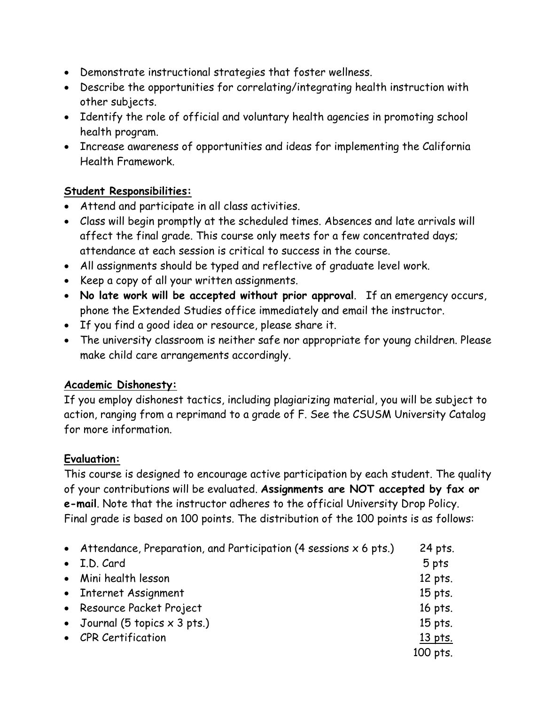- Demonstrate instructional strategies that foster wellness.
- Describe the opportunities for correlating/integrating health instruction with other subjects.
- Identify the role of official and voluntary health agencies in promoting school health program.
- Increase awareness of opportunities and ideas for implementing the California Health Framework.

## **Student Responsibilities:**

- Attend and participate in all class activities.
- Class will begin promptly at the scheduled times. Absences and late arrivals will affect the final grade. This course only meets for a few concentrated days; attendance at each session is critical to success in the course.
- All assignments should be typed and reflective of graduate level work.
- Keep a copy of all your written assignments.
- **No late work will be accepted without prior approval**. If an emergency occurs, phone the Extended Studies office immediately and email the instructor.
- If you find a good idea or resource, please share it.
- The university classroom is neither safe nor appropriate for young children. Please make child care arrangements accordingly.

## **Academic Dishonesty:**

If you employ dishonest tactics, including plagiarizing material, you will be subject to action, ranging from a reprimand to a grade of F. See the CSUSM University Catalog for more information.

## **Evaluation:**

This course is designed to encourage active participation by each student. The quality of your contributions will be evaluated. **Assignments are NOT accepted by fax or e-mail**. Note that the instructor adheres to the official University Drop Policy. Final grade is based on 100 points. The distribution of the 100 points is as follows:

| • Attendance, Preparation, and Participation (4 sessions $x$ 6 pts.) | 24 pts.  |
|----------------------------------------------------------------------|----------|
| • I.D. Card                                                          | 5 pts    |
| • Mini health lesson                                                 | 12 pts.  |
| • Internet Assignment                                                | 15 pts.  |
| • Resource Packet Project                                            | 16 pts.  |
| • Journal (5 topics $\times$ 3 pts.)                                 | 15 pts.  |
| • CPR Certification                                                  | 13 pts.  |
|                                                                      | 100 pts. |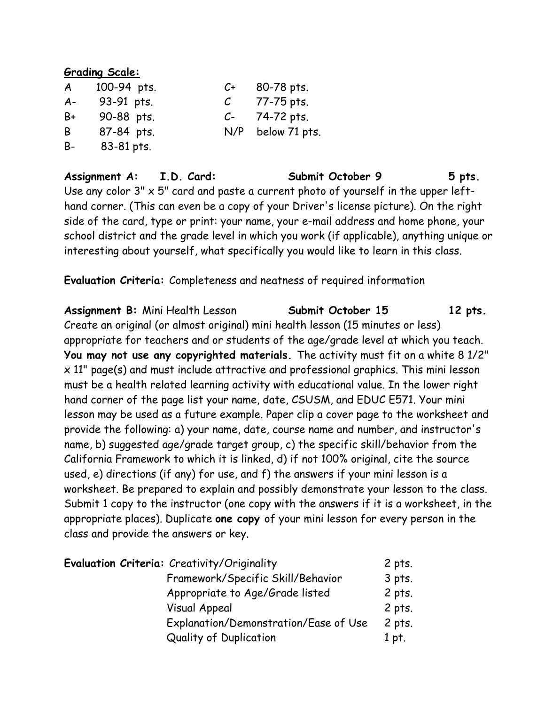#### **Grading Scale:**

| $\mathcal{A}$ | 100-94 pts. | $C+$ | 80-78 pts.    |
|---------------|-------------|------|---------------|
| $A -$         | 93-91 pts.  | C    | 77-75 pts.    |
| B+            | 90-88 pts.  | $C-$ | 74-72 pts.    |
| B             | 87-84 pts.  | N/P  | below 71 pts. |
| B-            | 83-81 pts.  |      |               |

Assignment A: I.D. Card: Submit October 9 5 pts. Use any color 3" x 5" card and paste a current photo of yourself in the upper lefthand corner. (This can even be a copy of your Driver's license picture). On the right side of the card, type or print: your name, your e-mail address and home phone, your school district and the grade level in which you work (if applicable), anything unique or interesting about yourself, what specifically you would like to learn in this class.

**Evaluation Criteria:** Completeness and neatness of required information

Assignment B: Mini Health Lesson **Submit October 15** 12 pts. Create an original (or almost original) mini health lesson (15 minutes or less) appropriate for teachers and or students of the age/grade level at which you teach. **You may not use any copyrighted materials.** The activity must fit on a white 8 1/2" x 11" page(s) and must include attractive and professional graphics. This mini lesson must be a health related learning activity with educational value. In the lower right hand corner of the page list your name, date, CSUSM, and EDUC E571. Your mini lesson may be used as a future example. Paper clip a cover page to the worksheet and provide the following: a) your name, date, course name and number, and instructor's name, b) suggested age/grade target group, c) the specific skill/behavior from the California Framework to which it is linked, d) if not 100% original, cite the source used, e) directions (if any) for use, and f) the answers if your mini lesson is a worksheet. Be prepared to explain and possibly demonstrate your lesson to the class. Submit 1 copy to the instructor (one copy with the answers if it is a worksheet, in the appropriate places). Duplicate **one copy** of your mini lesson for every person in the class and provide the answers or key.

| Evaluation Criteria: Creativity/Originality | $2$ pts. |
|---------------------------------------------|----------|
| Framework/Specific Skill/Behavior           | $3$ pts. |
| Appropriate to Age/Grade listed             | $2$ pts. |
| <b>Visual Appeal</b>                        | $2$ pts. |
| Explanation/Demonstration/Ease of Use       | $2$ pts. |
| <b>Quality of Duplication</b>               | 1 pt.    |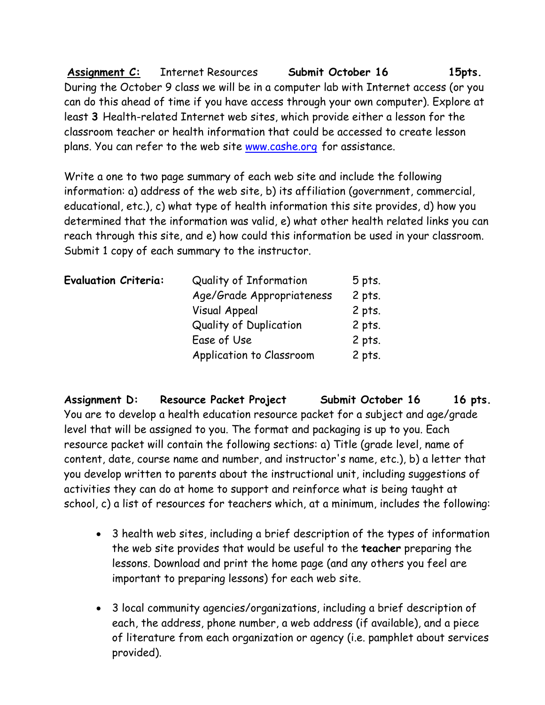**Assignment C:** Internet Resources **Submit October 16 15pts.**  During the October 9 class we will be in a computer lab with Internet access (or you can do this ahead of time if you have access through your own computer). Explore at least **3** Health-related Internet web sites, which provide either a lesson for the classroom teacher or health information that could be accessed to create lesson plans. You can refer to the web site www.cashe.org for assistance.

Write a one to two page summary of each web site and include the following information: a) address of the web site, b) its affiliation (government, commercial, educational, etc.), c) what type of health information this site provides, d) how you determined that the information was valid, e) what other health related links you can reach through this site, and e) how could this information be used in your classroom. Submit 1 copy of each summary to the instructor.

| <b>Evaluation Criteria:</b> | Quality of Information    | $5$ pts. |
|-----------------------------|---------------------------|----------|
|                             | Age/Grade Appropriateness | $2$ pts. |
|                             | <b>Visual Appeal</b>      | $2$ pts. |
|                             | Quality of Duplication    | $2$ pts. |
|                             | Ease of Use               | $2$ pts. |
|                             | Application to Classroom  | $2$ pts. |

Assignment D: Resource Packet Project Submit October 16 16 pts. You are to develop a health education resource packet for a subject and age/grade level that will be assigned to you. The format and packaging is up to you. Each resource packet will contain the following sections: a) Title (grade level, name of content, date, course name and number, and instructor's name, etc.), b) a letter that you develop written to parents about the instructional unit, including suggestions of activities they can do at home to support and reinforce what is being taught at school, c) a list of resources for teachers which, at a minimum, includes the following:

- 3 health web sites, including a brief description of the types of information the web site provides that would be useful to the **teacher** preparing the lessons. Download and print the home page (and any others you feel are important to preparing lessons) for each web site.
- 3 local community agencies/organizations, including a brief description of each, the address, phone number, a web address (if available), and a piece of literature from each organization or agency (i.e. pamphlet about services provided).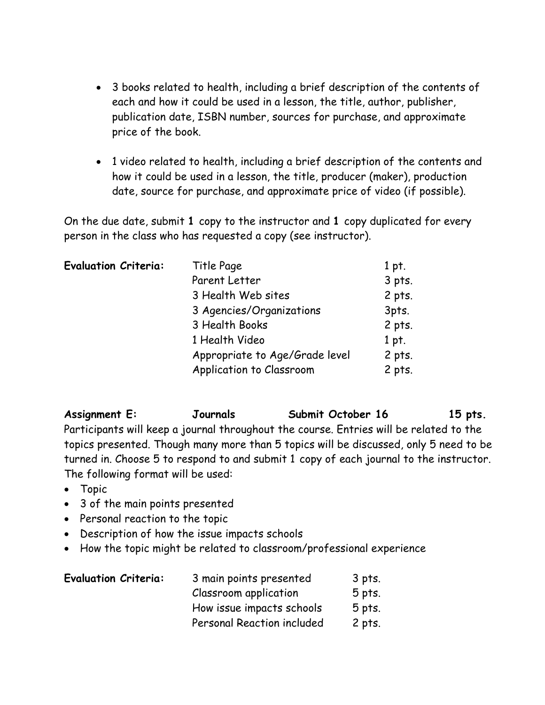- 3 books related to health, including a brief description of the contents of each and how it could be used in a lesson, the title, author, publisher, publication date, ISBN number, sources for purchase, and approximate price of the book.
- 1 video related to health, including a brief description of the contents and how it could be used in a lesson, the title, producer (maker), production date, source for purchase, and approximate price of video (if possible).

On the due date, submit **1** copy to the instructor and **1** copy duplicated for every person in the class who has requested a copy (see instructor).

| <b>Evaluation Criteria:</b> | Title Page                     | $1$ pt.  |
|-----------------------------|--------------------------------|----------|
|                             | Parent Letter                  | $3$ pts. |
|                             | 3 Health Web sites             | $2$ pts. |
|                             | 3 Agencies/Organizations       | 3pts.    |
|                             | 3 Health Books                 | 2 pts.   |
|                             | 1 Health Video                 | 1 pt.    |
|                             | Appropriate to Age/Grade level | $2$ pts. |
|                             | Application to Classroom       | $2$ pts. |

# Assignment E: **Journals** Submit October 16 15 pts.

Participants will keep a journal throughout the course. Entries will be related to the topics presented. Though many more than 5 topics will be discussed, only 5 need to be turned in. Choose 5 to respond to and submit 1 copy of each journal to the instructor. The following format will be used:

- Topic
- 3 of the main points presented
- Personal reaction to the topic
- Description of how the issue impacts schools
- How the topic might be related to classroom/professional experience

| <b>Evaluation Criteria:</b> | 3 main points presented    | 3 pts.   |
|-----------------------------|----------------------------|----------|
|                             | Classroom application      | $5$ pts. |
|                             | How issue impacts schools  | $5$ pts. |
|                             | Personal Reaction included | 2 pts.   |